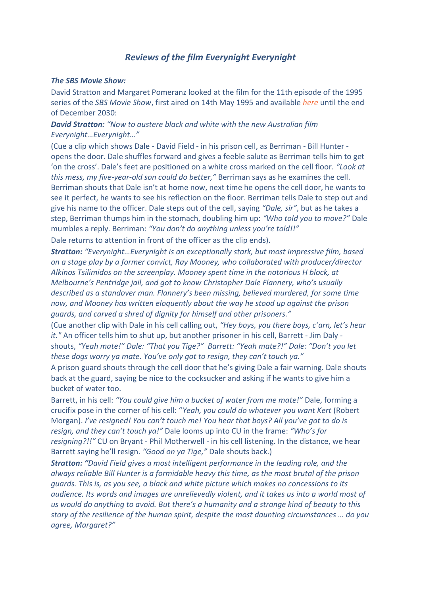# *Reviews of the film Everynight Everynight*

### *The SBS Movie Show:*

David Stratton and Margaret Pomeranz looked at the film for the 11th episode of the 1995 series of the *SBS Movie Show*, first aired on 14th May 1995 and available *[here](https://www.sbs.com.au/movies/video/11676739936/Everynight-Everynight)* until the end of December 2030:

*David Stratton: "Now to austere black and white with the new Australian film Everynight…Everynight…"*

(Cue a clip which shows Dale - David Field - in his prison cell, as Berriman - Bill Hunter opens the door. Dale shuffles forward and gives a feeble salute as Berriman tells him to get 'on the cross'. Dale's feet are positioned on a white cross marked on the cell floor. *"Look at this mess, my five-year-old son could do better,"* Berriman says as he examines the cell. Berriman shouts that Dale isn't at home now, next time he opens the cell door, he wants to see it perfect, he wants to see his reflection on the floor. Berriman tells Dale to step out and give his name to the officer. Dale steps out of the cell, saying *"Dale, sir"*, but as he takes a step, Berriman thumps him in the stomach, doubling him up: *"Who told you to move?"* Dale mumbles a reply. Berriman: *"You don't do anything unless you're told!!"*

Dale returns to attention in front of the officer as the clip ends).

*Stratton: "Everynight…Everynight is an exceptionally stark, but most impressive film, based on a stage play by a former convict, Ray Mooney, who collaborated with producer/director Alkinos Tsilimidos on the screenplay. Mooney spent time in the notorious H block, at Melbourne's Pentridge jail, and got to know Christopher Dale Flannery, who's usually described as a standover man. Flannery's been missing, believed murdered, for some time now, and Mooney has written eloquently about the way he stood up against the prison guards, and carved a shred of dignity for himself and other prisoners."*

(Cue another clip with Dale in his cell calling out, *"Hey boys, you there boys, c'arn, let's hear it."* An officer tells him to shut up, but another prisoner in his cell, Barrett - Jim Daly shouts, *"Yeah mate!" Dale: "That you Tige?" Barrett: "Yeah mate?!" Dale: "Don't you let these dogs worry ya mate. You've only got to resign, they can't touch ya."*

A prison guard shouts through the cell door that he's giving Dale a fair warning. Dale shouts back at the guard, saying be nice to the cocksucker and asking if he wants to give him a bucket of water too.

Barrett, in his cell: *"You could give him a bucket of water from me mate!"* Dale, forming a crucifix pose in the corner of his cell: "*Yeah, you could do whatever you want Kert* (Robert Morgan). *I've resigned! You can't touch me! You hear that boys? All you've got to do is resign, and they can't touch ya!"* Dale looms up into CU in the frame: *"Who's for resigning?!!"* CU on Bryant - Phil Motherwell - in his cell listening. In the distance, we hear Barrett saying he'll resign. *"Good on ya Tige,"* Dale shouts back.)

*Stratton: "David Field gives a most intelligent performance in the leading role, and the always reliable Bill Hunter is a formidable heavy this time, as the most brutal of the prison guards. This is, as you see, a black and white picture which makes no concessions to its audience. Its words and images are unrelievedly violent, and it takes us into a world most of us would do anything to avoid. But there's a humanity and a strange kind of beauty to this story of the resilience of the human spirit, despite the most daunting circumstances … do you agree, Margaret?"*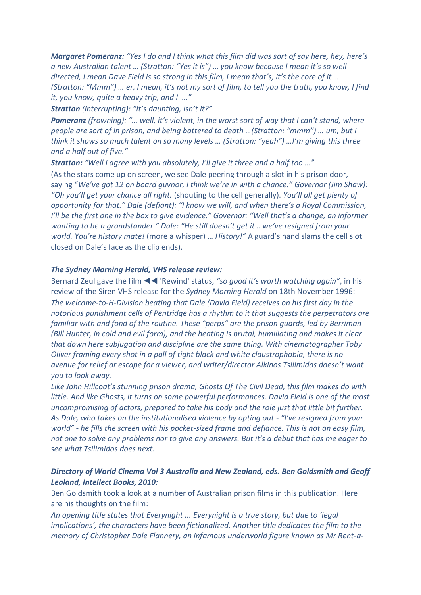*Margaret Pomeranz: "Yes I do and I think what this film did was sort of say here, hey, here's a new Australian talent … (Stratton: "Yes it is") … you know because I mean it's so welldirected, I mean Dave Field is so strong in this film, I mean that's, it's the core of it … (Stratton: "Mmm") … er, I mean, it's not my sort of film, to tell you the truth, you know, I find it, you know, quite a heavy trip, and I …"*

*Stratton (interrupting): "It's daunting, isn't it?"*

*Pomeranz (frowning): "… well, it's violent, in the worst sort of way that I can't stand, where people are sort of in prison, and being battered to death …(Stratton: "mmm") … um, but I think it shows so much talent on so many levels ... (Stratton: "yeah") ...I'm giving this three and a half out of five."*

*Stratton: "Well I agree with you absolutely, I'll give it three and a half too …"*

(As the stars come up on screen, we see Dale peering through a slot in his prison door, saying "*We've got 12 on board guvnor, I think we're in with a chance." Governor (Jim Shaw): "Oh you'll get your chance all right.* (shouting to the cell generally). *You'll all get plenty of opportunity for that." Dale (defiant): "I know we will, and when there's a Royal Commission, I'll be the first one in the box to give evidence." Governor: "Well that's a change, an informer wanting to be a grandstander." Dale: "He still doesn't get it …we've resigned from your world. You're history mate!* (more a whisper) … *History!"* A guard's hand slams the cell slot closed on Dale's face as the clip ends).

## *The Sydney Morning Herald, VHS release review:*

Bernard Zeul gave the film ◀◀ 'Rewind' status, *"so good it's worth watching again"*, in his review of the Siren VHS release for the *Sydney Morning Herald* on 18th November 1996: *The welcome-to-H-Division beating that Dale (David Field) receives on his first day in the notorious punishment cells of Pentridge has a rhythm to it that suggests the perpetrators are familiar with and fond of the routine. These "perps" are the prison guards, led by Berriman (Bill Hunter, in cold and evil form), and the beating is brutal, humiliating and makes it clear that down here subjugation and discipline are the same thing. With cinematographer Toby Oliver framing every shot in a pall of tight black and white claustrophobia, there is no avenue for relief or escape for a viewer, and writer/director Alkinos Tsilimidos doesn't want you to look away.*

*Like John Hillcoat's stunning prison drama, Ghosts Of The Civil Dead, this film makes do with little. And like Ghosts, it turns on some powerful performances. David Field is one of the most uncompromising of actors, prepared to take his body and the role just that little bit further. As Dale, who takes on the institutionalised violence by opting out - "I've resigned from your world" - he fills the screen with his pocket-sized frame and defiance. This is not an easy film, not one to solve any problems nor to give any answers. But it's a debut that has me eager to see what Tsilimidos does next.*

# *Directory of World Cinema Vol 3 Australia and New Zealand, eds. Ben Goldsmith and Geoff Lealand, Intellect Books, 2010:*

Ben Goldsmith took a look at a number of Australian prison films in this publication. Here are his thoughts on the film:

*An opening title states that Everynight ... Everynight is a true story, but due to 'legal implications', the characters have been fictionalized. Another title dedicates the film to the memory of Christopher Dale Flannery, an infamous underworld figure known as Mr Rent-a-*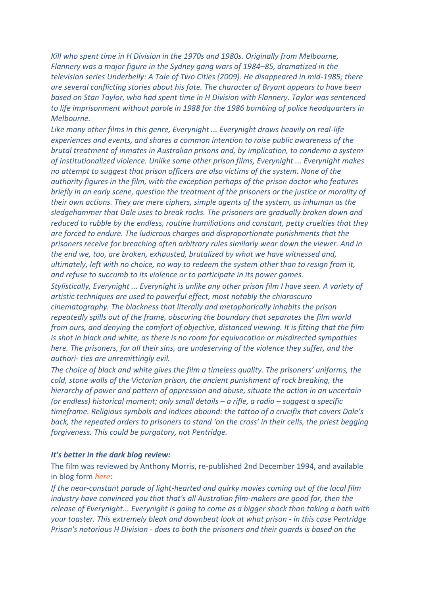*Kill who spent time in H Division in the 1970s and 1980s. Originally from Melbourne, Flannery was a major figure in the Sydney gang wars of 1984–85, dramatized in the television series Underbelly: A Tale of Two Cities (2009). He disappeared in mid-1985; there are several conflicting stories about his fate. The character of Bryant appears to have been based on Stan Taylor, who had spent time in H Division with Flannery. Taylor was sentenced to life imprisonment without parole in 1988 for the 1986 bombing of police headquarters in Melbourne.*

*Like many other films in this genre, Everynight ... Everynight draws heavily on real-life experiences and events, and shares a common intention to raise public awareness of the brutal treatment of inmates in Australian prisons and, by implication, to condemn a system of institutionalized violence. Unlike some other prison films, Everynight ... Everynight makes no attempt to suggest that prison officers are also victims of the system. None of the authority figures in the film, with the exception perhaps of the prison doctor who features briefly in an early scene, question the treatment of the prisoners or the justice or morality of their own actions. They are mere ciphers, simple agents of the system, as inhuman as the sledgehammer that Dale uses to break rocks. The prisoners are gradually broken down and reduced to rubble by the endless, routine humiliations and constant, petty cruelties that they are forced to endure. The ludicrous charges and disproportionate punishments that the prisoners receive for breaching often arbitrary rules similarly wear down the viewer. And in the end we, too, are broken, exhausted, brutalized by what we have witnessed and, ultimately, left with no choice, no way to redeem the system other than to resign from it, and refuse to succumb to its violence or to participate in its power games. Stylistically, Everynight ... Everynight is unlike any other prison film I have seen. A variety of artistic techniques are used to powerful effect, most notably the chiaroscuro cinematography. The blackness that literally and metaphorically inhabits the prison repeatedly spills out of the frame, obscuring the boundary that separates the film world from ours, and denying the comfort of objective, distanced viewing. It is fitting that the film is shot in black and white, as there is no room for equivocation or misdirected sympathies here. The prisoners, for all their sins, are undeserving of the violence they suffer, and the authori- ties are unremittingly evil.*

*The choice of black and white gives the film a timeless quality. The prisoners' uniforms, the cold, stone walls of the Victorian prison, the ancient punishment of rock breaking, the hierarchy of power and pattern of oppression and abuse, situate the action in an uncertain (or endless) historical moment; only small details – a rifle, a radio – suggest a specific timeframe. Religious symbols and indices abound: the tattoo of a crucifix that covers Dale's back, the repeated orders to prisoners to stand 'on the cross' in their cells, the priest begging forgiveness. This could be purgatory, not Pentridge.*

#### *It's better in the dark blog review:*

The film was reviewed by Anthony Morris, re-published 2nd December 1994, and available in blog form *[here](https://itsbetterinthedark.blogspot.com/2007/12/everynight-everynight.html)*:

*If the near-constant parade of light-hearted and quirky movies coming out of the local film industry have convinced you that that's all Australian film-makers are good for, then the release of Everynight... Everynight is going to come as a bigger shock than taking a bath with your toaster. This extremely bleak and downbeat look at what prison - in this case Pentridge Prison's notorious H Division - does to both the prisoners and their guards is based on the*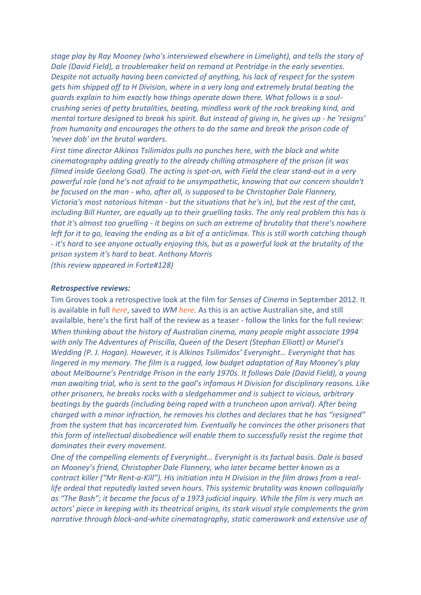*stage play by Ray Mooney (who's interviewed elsewhere in Limelight), and tells the story of Dale (David Field), a troublemaker held on remand at Pentridge in the early seventies. Despite not actually having been convicted of anything, his lack of respect for the system gets him shipped off to H Division, where in a very long and extremely brutal beating the guards explain to him exactly how things operate down there. What follows is a soulcrushing series of petty brutalities, beating, mindless work of the rock breaking kind, and mental torture designed to break his spirit. But instead of giving in, he gives up - he 'resigns' from humanity and encourages the others to do the same and break the prison code of 'never dob' on the brutal warders.*

*First time director Alkinos Tsilimidos pulls no punches here, with the black and white cinematography adding greatly to the already chilling atmosphere of the prison (it was filmed inside Geelong Goal). The acting is spot-on, with Field the clear stand-out in a very powerful role (and he's not afraid to be unsympathetic, knowing that our concern shouldn't be focused on the man - who, after all, is supposed to be Christopher Dale Flannery, Victoria's most notorious hitman - but the situations that he's in), but the rest of the cast, including Bill Hunter, are equally up to their gruelling tasks. The only real problem this has is that it's almost too gruelling - it begins on such an extreme of brutality that there's nowhere left for it to go, leaving the ending as a bit of a anticlimax. This is still worth catching though - it's hard to see anyone actually enjoying this, but as a powerful look at the brutality of the prison system it's hard to beat. Anthony Morris (this review appeared in Forte#128)*

#### *Retrospective reviews:*

Tim Groves took a retrospective look at the film for *Senses of Cinema* in September 2012. It is available in full *[here](https://sensesofcinema.com/2012/key-moments-in-australian-cinema-issue-70-march-2014/speaking-truth-to-power-in-everynight-everynight-alkinos-tsilimidos-1994/)*, saved to *WM [here.](https://web.archive.org/web/20190910001231/https:/sensesofcinema.com/2012/key-moments-in-australian-cinema-issue-70-march-2014/speaking-truth-to-power-in-everynight-everynight-alkinos-tsilimidos-1994/)* As this is an active Australian site, and still availalble, here's the first half of the review as a teaser - follow the links for the full review: *When thinking about the history of Australian cinema, many people might associate 1994 with only The Adventures of Priscilla, Queen of the Desert (Stephan Elliott) or Muriel's Wedding (P. J. Hogan). However, it is Alkinos Tsilimidos' Everynight… Everynight that has lingered in my memory. The film is a rugged, low budget adaptation of Ray Mooney's play about Melbourne's Pentridge Prison in the early 1970s. It follows Dale (David Field), a young man awaiting trial, who is sent to the gaol's infamous H Division for disciplinary reasons. Like other prisoners, he breaks rocks with a sledgehammer and is subject to vicious, arbitrary beatings by the guards (including being raped with a truncheon upon arrival). After being charged with a minor infraction, he removes his clothes and declares that he has "resigned" from the system that has incarcerated him. Eventually he convinces the other prisoners that this form of intellectual disobedience will enable them to successfully resist the regime that dominates their every movement.*

*One of the compelling elements of Everynight… Everynight is its factual basis. Dale is based on Mooney's friend, Christopher Dale Flannery, who later became better known as a contract killer ("Mr Rent-a-Kill"). His initiation into H Division in the film draws from a reallife ordeal that reputedly lasted seven hours. This systemic brutality was known colloquially as "The Bash"; it became the focus of a 1973 judicial inquiry. While the film is very much an actors' piece in keeping with its theatrical origins, its stark visual style complements the grim narrative through black-and-white cinematography, static camerawork and extensive use of*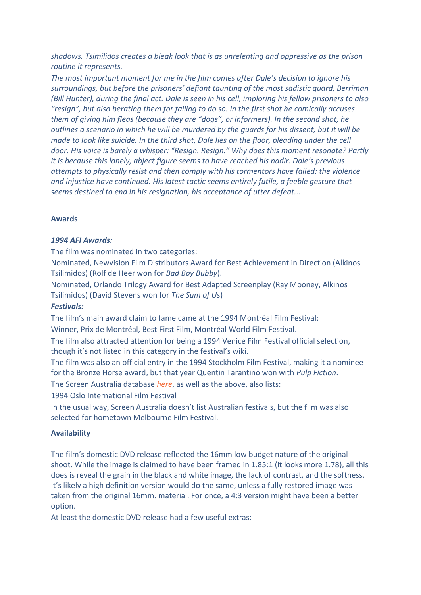*shadows. Tsimilidos creates a bleak look that is as unrelenting and oppressive as the prison routine it represents.*

*The most important moment for me in the film comes after Dale's decision to ignore his surroundings, but before the prisoners' defiant taunting of the most sadistic guard, Berriman (Bill Hunter), during the final act. Dale is seen in his cell, imploring his fellow prisoners to also "resign", but also berating them for failing to do so. In the first shot he comically accuses them of giving him fleas (because they are "dogs", or informers). In the second shot, he outlines a scenario in which he will be murdered by the guards for his dissent, but it will be made to look like suicide. In the third shot, Dale lies on the floor, pleading under the cell door. His voice is barely a whisper: "Resign. Resign." Why does this moment resonate? Partly it is because this lonely, abject figure seems to have reached his nadir. Dale's previous attempts to physically resist and then comply with his tormentors have failed: the violence and injustice have continued. His latest tactic seems entirely futile, a feeble gesture that seems destined to end in his resignation, his acceptance of utter defeat...*

## **Awards**

## *1994 AFI Awards:*

The film was nominated in two categories:

Nominated, Newvision Film Distributors Award for Best Achievement in Direction (Alkinos Tsilimidos) (Rolf de Heer won for *Bad Boy Bubby*).

Nominated, Orlando Trilogy Award for Best Adapted Screenplay (Ray Mooney, Alkinos Tsilimidos) (David Stevens won for *The Sum of Us*)

# *Festivals:*

The film's main award claim to fame came at the 1994 Montréal Film Festival:

Winner, Prix de Montréal, Best First Film, Montréal World Film Festival.

The film also attracted attention for being a 1994 Venice Film Festival official selection, though it's not listed in this category in the festival's wiki.

The film was also an official entry in the 1994 Stockholm Film Festival, making it a nominee for the Bronze Horse award, but that year Quentin Tarantino won with *Pulp Fiction*.

The Screen Australia database *[here](https://www.screenaustralia.gov.au/the-screen-guide/t/everynight---everynight-1995/8038?stxt=everynight)*, as well as the above, also lists:

1994 Oslo International Film Festival

In the usual way, Screen Australia doesn't list Australian festivals, but the film was also selected for hometown Melbourne Film Festival.

# **Availability**

The film's domestic DVD release reflected the 16mm low budget nature of the original shoot. While the image is claimed to have been framed in 1.85:1 (it looks more 1.78), all this does is reveal the grain in the black and white image, the lack of contrast, and the softness. It's likely a high definition version would do the same, unless a fully restored image was taken from the original 16mm. material. For once, a 4:3 version might have been a better option.

At least the domestic DVD release had a few useful extras: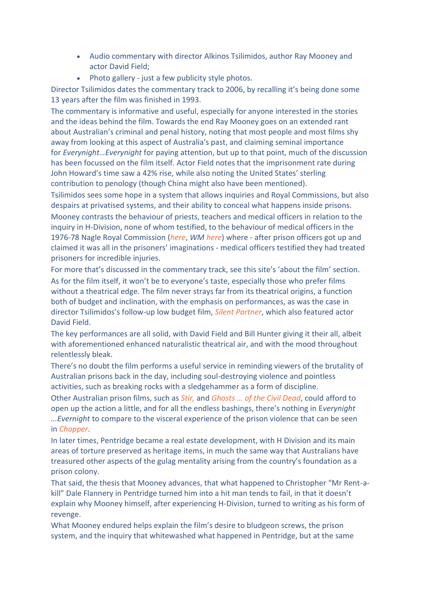- Audio commentary with director Alkinos Tsilimidos, author Ray Mooney and actor David Field;
- Photo gallery just a few publicity style photos.

Director Tsilimidos dates the commentary track to 2006, by recalling it's being done some 13 years after the film was finished in 1993.

The commentary is informative and useful, especially for anyone interested in the stories and the ideas behind the film. Towards the end Ray Mooney goes on an extended rant about Australian's criminal and penal history, noting that most people and most films shy away from looking at this aspect of Australia's past, and claiming seminal importance for *Everynight…Everynight* for paying attention, but up to that point, much of the discussion has been focussed on the film itself. Actor Field notes that the imprisonment rate during John Howard's time saw a 42% rise, while also noting the United States' sterling contribution to penology (though China might also have been mentioned).

Tsilimidos sees some hope in a system that allows inquiries and Royal Commissions, but also despairs at privatised systems, and their ability to conceal what happens inside prisons. Mooney contrasts the behaviour of priests, teachers and medical officers in relation to the inquiry in H-Division, none of whom testified, to the behaviour of medical officers in the 1976-78 Nagle Royal Commission (*[here](https://www.justiceaction.org.au/images/stories/CmpgnPDFs/naglerpt301112.pdf)*, *WM [here](https://web.archive.org/web/20190909020714/https:/www.justiceaction.org.au/images/stories/CmpgnPDFs/naglerpt301112.pdf)*) where - after prison officers got up and claimed it was all in the prisoners' imaginations - medical officers testified they had treated prisoners for incredible injuries.

For more that's discussed in the commentary track, see this site's 'about the film' section. As for the film itself, it won't be to everyone's taste, especially those who prefer films without a theatrical edge. The film never strays far from its theatrical origins, a function both of budget and inclination, with the emphasis on performances, as was the case in director Tsilimidos's follow-up low budget film, *[Silent Partner](https://www.ozmovies.com.au/movie/silent-partner)*, which also featured actor David Field.

The key performances are all solid, with David Field and Bill Hunter giving it their all, albeit with aforementioned enhanced naturalistic theatrical air, and with the mood throughout relentlessly bleak.

There's no doubt the film performs a useful service in reminding viewers of the brutality of Australian prisons back in the day, including soul-destroying violence and pointless activities, such as breaking rocks with a sledgehammer as a form of discipline.

Other Australian prison films, such as *[Stir,](https://www.ozmovies.com.au/movie/stir)* and *[Ghosts … of the Civil Dead](https://www.ozmovies.com.au/movie/ghosts-...-of-the-civil-dead)*, could afford to open up the action a little, and for all the endless bashings, there's nothing in E*verynight ...Evernight* to compare to the visceral experience of the prison violence that can be seen in *[Chopper](https://www.ozmovies.com.au/movie/chopper)*.

In later times, Pentridge became a real estate development, with H Division and its main areas of torture preserved as heritage items, in much the same way that Australians have treasured other aspects of the gulag mentality arising from the country's foundation as a prison colony.

That said, the thesis that Mooney advances, that what happened to Christopher "Mr Rent-akill" Dale Flannery in Pentridge turned him into a hit man tends to fail, in that it doesn't explain why Mooney himself, after experiencing H-Division, turned to writing as his form of revenge.

What Mooney endured helps explain the film's desire to bludgeon screws, the prison system, and the inquiry that whitewashed what happened in Pentridge, but at the same